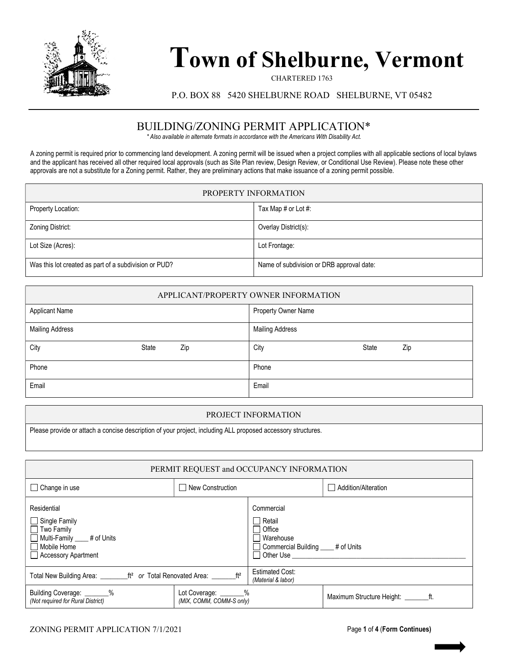

## Town of Shelburne, Vermont

CHARTERED 1763

P.O. BOX 88 5420 SHELBURNE ROAD SHELBURNE, VT 05482

## BUILDING/ZONING PERMIT APPLICATION\*

\* Also available in alternate formats in accordance with the Americans With Disability Act.

A zoning permit is required prior to commencing land development. A zoning permit will be issued when a project complies with all applicable sections of local bylaws and the applicant has received all other required local approvals (such as Site Plan review, Design Review, or Conditional Use Review). Please note these other approvals are not a substitute for a Zoning permit. Rather, they are preliminary actions that make issuance of a zoning permit possible.

| PROPERTY INFORMATION                                  |                                           |  |  |
|-------------------------------------------------------|-------------------------------------------|--|--|
| Property Location:                                    | Tax Map # or Lot #:                       |  |  |
| Zoning District:                                      | Overlay District(s):                      |  |  |
| Lot Size (Acres):                                     | Lot Frontage:                             |  |  |
| Was this lot created as part of a subdivision or PUD? | Name of subdivision or DRB approval date: |  |  |

| APPLICANT/PROPERTY OWNER INFORMATION |       |     |                        |       |     |
|--------------------------------------|-------|-----|------------------------|-------|-----|
| <b>Applicant Name</b>                |       |     | Property Owner Name    |       |     |
| <b>Mailing Address</b>               |       |     | <b>Mailing Address</b> |       |     |
| City                                 | State | Zip | City                   | State | Zip |
| Phone                                |       |     | Phone                  |       |     |
| Email                                |       |     | Email                  |       |     |

## PROJECT INFORMATION

Please provide or attach a concise description of your project, including ALL proposed accessory structures.

| PERMIT REQUEST and OCCUPANCY INFORMATION                                                                                              |                                                    |                                                                                                                                                                                                                                                                                                                           |                     |
|---------------------------------------------------------------------------------------------------------------------------------------|----------------------------------------------------|---------------------------------------------------------------------------------------------------------------------------------------------------------------------------------------------------------------------------------------------------------------------------------------------------------------------------|---------------------|
| $\Box$ Change in use                                                                                                                  | $\Box$ New Construction                            |                                                                                                                                                                                                                                                                                                                           | Addition/Alteration |
| Residential<br>$\Box$ Single Family<br>$\Box$ Two Family<br>Multi-Family ____ # of Units<br>$\Box$ Mobile Home<br>Accessory Apartment |                                                    | Commercial<br>Retail<br>Office<br>Warehouse<br>Commercial Building ____ # of Units<br>Other Use <b>Disk of American</b> Service Control of the Use of the Use of the Use of the Use of the Use of the Use of the Use of the Use of the Use of the Use of the Use of the Use of the Use of the Use of the Use of the Use o |                     |
| Total New Building Area: ________ft <sup>2</sup> or Total Renovated Area: _______ft <sup>2</sup>                                      |                                                    | <b>Estimated Cost:</b><br>(Material & labor)                                                                                                                                                                                                                                                                              |                     |
| Building Coverage: _______%<br>(Not required for Rural District)                                                                      | Lot Coverage: _______%<br>(MIX, COMM, COMM-S only) |                                                                                                                                                                                                                                                                                                                           |                     |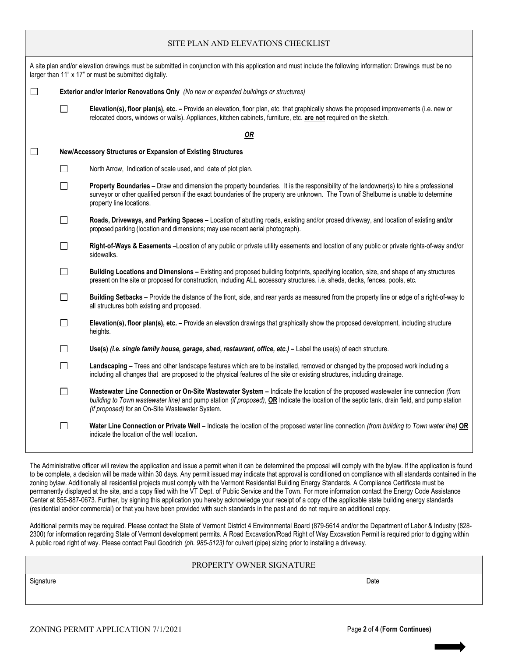| SITE PLAN AND ELEVATIONS CHECKLIST                                                                                                                                                                                    |                                                                                        |                                                                                                                                                                                                                                                                                                                                     |  |  |
|-----------------------------------------------------------------------------------------------------------------------------------------------------------------------------------------------------------------------|----------------------------------------------------------------------------------------|-------------------------------------------------------------------------------------------------------------------------------------------------------------------------------------------------------------------------------------------------------------------------------------------------------------------------------------|--|--|
| A site plan and/or elevation drawings must be submitted in conjunction with this application and must include the following information: Drawings must be no<br>larger than 11" x 17" or must be submitted digitally. |                                                                                        |                                                                                                                                                                                                                                                                                                                                     |  |  |
| $\Box$                                                                                                                                                                                                                | Exterior and/or Interior Renovations Only (No new or expanded buildings or structures) |                                                                                                                                                                                                                                                                                                                                     |  |  |
|                                                                                                                                                                                                                       | $\Box$                                                                                 | Elevation(s), floor plan(s), etc. - Provide an elevation, floor plan, etc. that graphically shows the proposed improvements (i.e. new or<br>relocated doors, windows or walls). Appliances, kitchen cabinets, furniture, etc. are not required on the sketch.                                                                       |  |  |
|                                                                                                                                                                                                                       |                                                                                        | OR                                                                                                                                                                                                                                                                                                                                  |  |  |
| $\Box$                                                                                                                                                                                                                |                                                                                        | New/Accessory Structures or Expansion of Existing Structures                                                                                                                                                                                                                                                                        |  |  |
|                                                                                                                                                                                                                       | П                                                                                      | North Arrow, Indication of scale used, and date of plot plan.                                                                                                                                                                                                                                                                       |  |  |
|                                                                                                                                                                                                                       | П                                                                                      | Property Boundaries - Draw and dimension the property boundaries. It is the responsibility of the landowner(s) to hire a professional<br>surveyor or other qualified person if the exact boundaries of the property are unknown. The Town of Shelburne is unable to determine<br>property line locations.                           |  |  |
|                                                                                                                                                                                                                       | $\mathsf{L}$                                                                           | Roads, Driveways, and Parking Spaces - Location of abutting roads, existing and/or prosed driveway, and location of existing and/or<br>proposed parking (location and dimensions; may use recent aerial photograph).                                                                                                                |  |  |
|                                                                                                                                                                                                                       | П                                                                                      | Right-of-Ways & Easements -Location of any public or private utility easements and location of any public or private rights-of-way and/or<br>sidewalks.                                                                                                                                                                             |  |  |
|                                                                                                                                                                                                                       | П                                                                                      | Building Locations and Dimensions - Existing and proposed building footprints, specifying location, size, and shape of any structures<br>present on the site or proposed for construction, including ALL accessory structures. i.e. sheds, decks, fences, pools, etc.                                                               |  |  |
|                                                                                                                                                                                                                       | $\mathsf{L}$                                                                           | Building Setbacks - Provide the distance of the front, side, and rear yards as measured from the property line or edge of a right-of-way to<br>all structures both existing and proposed.                                                                                                                                           |  |  |
|                                                                                                                                                                                                                       | П                                                                                      | Elevation(s), floor plan(s), etc. - Provide an elevation drawings that graphically show the proposed development, including structure<br>heights.                                                                                                                                                                                   |  |  |
|                                                                                                                                                                                                                       | П                                                                                      | Use(s) <i>(i.e.</i> single family house, garage, shed, restaurant, office, etc.) – Label the use(s) of each structure.                                                                                                                                                                                                              |  |  |
|                                                                                                                                                                                                                       | $\Box$                                                                                 | Landscaping - Trees and other landscape features which are to be installed, removed or changed by the proposed work including a<br>including all changes that are proposed to the physical features of the site or existing structures, including drainage.                                                                         |  |  |
|                                                                                                                                                                                                                       | П                                                                                      | Wastewater Line Connection or On-Site Wastewater System - Indicate the location of the proposed wastewater line connection (from<br>building to Town wastewater line) and pump station (if proposed), OR Indicate the location of the septic tank, drain field, and pump station<br>(if proposed) for an On-Site Wastewater System. |  |  |
|                                                                                                                                                                                                                       | $\Box$                                                                                 | Water Line Connection or Private Well - Indicate the location of the proposed water line connection (from building to Town water line) OR<br>indicate the location of the well location.                                                                                                                                            |  |  |

The Administrative officer will review the application and issue a permit when it can be determined the proposal will comply with the bylaw. If the application is found to be complete, a decision will be made within 30 days. Any permit issued may indicate that approval is conditioned on compliance with all standards contained in the zoning bylaw. Additionally all residential projects must comply with the Vermont Residential Building Energy Standards. A Compliance Certificate must be permanently displayed at the site, and a copy filed with the VT Dept. of Public Service and the Town. For more information contact the Energy Code Assistance Center at 855-887-0673. Further, by signing this application you hereby acknowledge your receipt of a copy of the applicable state building energy standards (residential and/or commercial) or that you have been provided with such standards in the past and do not require an additional copy.

Additional permits may be required. Please contact the State of Vermont District 4 Environmental Board (879-5614 and/or the Department of Labor & Industry (828-2300) for information regarding State of Vermont development permits. A Road Excavation/Road Right of Way Excavation Permit is required prior to digging within A public road right of way. Please contact Paul Goodrich (ph. 985-5123) for culvert (pipe) sizing prior to installing a driveway.

|                   | PROPERTY OWNER SIGNATURE |  |  |
|-------------------|--------------------------|--|--|
| Date<br>Signature |                          |  |  |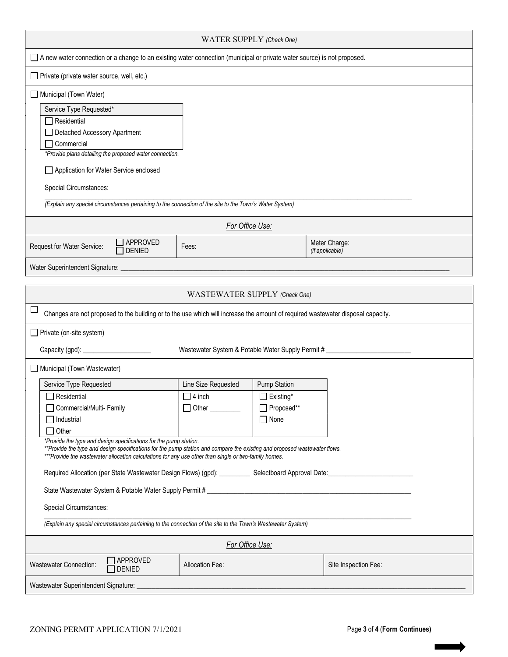| WATER SUPPLY (Check One)                                                                                                                                                                                                                                                                               |                                                   |                                |                                  |
|--------------------------------------------------------------------------------------------------------------------------------------------------------------------------------------------------------------------------------------------------------------------------------------------------------|---------------------------------------------------|--------------------------------|----------------------------------|
| □ A new water connection or a change to an existing water connection (municipal or private water source) is not proposed.                                                                                                                                                                              |                                                   |                                |                                  |
| $\Box$ Private (private water source, well, etc.)                                                                                                                                                                                                                                                      |                                                   |                                |                                  |
| Municipal (Town Water)                                                                                                                                                                                                                                                                                 |                                                   |                                |                                  |
| Service Type Requested*                                                                                                                                                                                                                                                                                |                                                   |                                |                                  |
| $\Box$ Residential                                                                                                                                                                                                                                                                                     |                                                   |                                |                                  |
| Detached Accessory Apartment<br>$\Box$ Commercial                                                                                                                                                                                                                                                      |                                                   |                                |                                  |
| *Provide plans detailing the proposed water connection.                                                                                                                                                                                                                                                |                                                   |                                |                                  |
| Application for Water Service enclosed                                                                                                                                                                                                                                                                 |                                                   |                                |                                  |
| Special Circumstances:                                                                                                                                                                                                                                                                                 |                                                   |                                |                                  |
| (Explain any special circumstances pertaining to the connection of the site to the Town's Water System)                                                                                                                                                                                                |                                                   |                                |                                  |
|                                                                                                                                                                                                                                                                                                        | For Office Use:                                   |                                |                                  |
| APPROVED<br>Request for Water Service:<br>DENIED                                                                                                                                                                                                                                                       | Fees:                                             |                                | Meter Charge:<br>(if applicable) |
| Water Superintendent Signature:                                                                                                                                                                                                                                                                        |                                                   |                                |                                  |
|                                                                                                                                                                                                                                                                                                        |                                                   |                                |                                  |
|                                                                                                                                                                                                                                                                                                        | WASTEWATER SUPPLY (Check One)                     |                                |                                  |
| Changes are not proposed to the building or to the use which will increase the amount of required wastewater disposal capacity.                                                                                                                                                                        |                                                   |                                |                                  |
| $\Box$ Private (on-site system)                                                                                                                                                                                                                                                                        |                                                   |                                |                                  |
| Capacity (gpd): __                                                                                                                                                                                                                                                                                     | Wastewater System & Potable Water Supply Permit # |                                |                                  |
| Municipal (Town Wastewater)                                                                                                                                                                                                                                                                            |                                                   |                                |                                  |
| Service Type Requested                                                                                                                                                                                                                                                                                 | Line Size Requested                               | <b>Pump Station</b>            |                                  |
| $\Box$ Residential                                                                                                                                                                                                                                                                                     | $\Box$ 4 inch                                     | $\Box$ Existing*<br>Proposed** |                                  |
| Commercial/Multi- Family<br>$\sqcap$ Industrial                                                                                                                                                                                                                                                        | Other                                             | $\Box$ None                    |                                  |
| $\Box$ Other                                                                                                                                                                                                                                                                                           |                                                   |                                |                                  |
| *Provide the type and design specifications for the pump station.<br>**Provide the type and design specifications for the pump station and compare the existing and proposed wastewater flows.<br>***Provide the wastewater allocation calculations for any use other than single or two-family homes. |                                                   |                                |                                  |
| Required Allocation (per State Wastewater Design Flows) (gpd): Selectboard Approval Date: Communication (per State Wastewater Design Flows) (gpd): Selectboard Approval Date:                                                                                                                          |                                                   |                                |                                  |
|                                                                                                                                                                                                                                                                                                        |                                                   |                                |                                  |
| Special Circumstances:                                                                                                                                                                                                                                                                                 |                                                   |                                |                                  |
| (Explain any special circumstances pertaining to the connection of the site to the Town's Wastewater System)                                                                                                                                                                                           |                                                   |                                |                                  |
| For Office Use:                                                                                                                                                                                                                                                                                        |                                                   |                                |                                  |
| APPROVED<br><b>Wastewater Connection:</b><br><b>DENIED</b>                                                                                                                                                                                                                                             | Allocation Fee:                                   |                                | Site Inspection Fee:             |
| Wastewater Superintendent Signature:                                                                                                                                                                                                                                                                   |                                                   |                                |                                  |

 $\overline{\phantom{a}}$